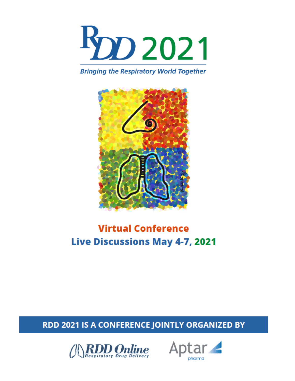

**Bringing the Respiratory World Together** 



# **Virtual Conference Live Discussions May 4-7, 2021**

## RDD 2021 IS A CONFERENCE JOINTLY ORGANIZED BY



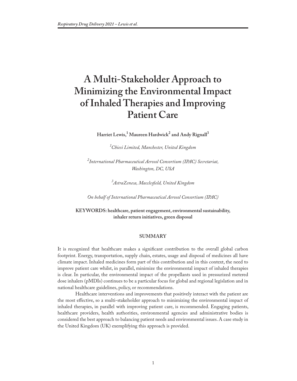## **A Multi-Stakeholder Approach to Minimizing the Environmental Impact of Inhaled Therapies and Improving Patient Care**

 $\operatorname{Harriet}$  Lewis, $^1$  Maureen  $\operatorname{Hardwick}^2$  and  $\operatorname{Andy}$  Rignall $^3$ 

*1 Chiesi Limited, Manchester, United Kingdom*

*2 International Pharmaceutical Aerosol Consortium (IPAC) Secretariat, Washington, DC, USA*

*3 AstraZeneca, Macclesfield, United Kingdom*

*On behalf of International Pharmaceutical Aerosol Consortium (IPAC)*

**KEYWORDS: healthcare, patient engagement, environmental sustainability, inhaler return initiatives, green disposal**

### **SUMMARY**

It is recognized that healthcare makes a significant contribution to the overall global carbon footprint. Energy, transportation, supply chain, estates, usage and disposal of medicines all have climate impact. Inhaled medicines form part of this contribution and in this context, the need to improve patient care whilst, in parallel, minimize the environmental impact of inhaled therapies is clear. In particular, the environmental impact of the propellants used in pressurized metered dose inhalers (pMDIs) continues to be a particular focus for global and regional legislation and in national healthcare guidelines, policy, or recommendations.

Healthcare interventions and improvements that positively interact with the patient are the most effective, so a multi-stakeholder approach to minimizing the environmental impact of inhaled therapies, in parallel with improving patient care, is recommended. Engaging patients, healthcare providers, health authorities, environmental agencies and administrative bodies is considered the best approach to balancing patient needs and environmental issues. A case study in the United Kingdom (UK) exemplifying this approach is provided.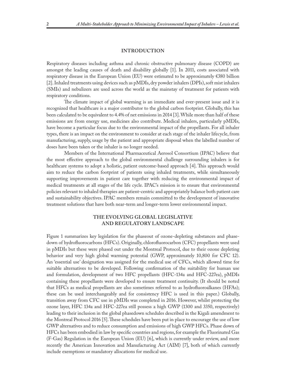#### **INTRODUCTION**

Respiratory diseases including asthma and chronic obstructive pulmonary disease (COPD) are amongst the leading causes of death and disability globally [1]. In 2011, costs associated with respiratory disease in the European Union (EU) were estimated to be approximately €380 billion [2]. Inhaled treatments using devices such as pMDIs, dry powder inhalers (DPIs), soft mist inhalers (SMIs) and nebulizers are used across the world as the mainstay of treatment for patients with respiratory conditions.

The climate impact of global warming is an immediate and ever-present issue and it is recognized that healthcare is a major contributor to the global carbon footprint. Globally, this has been calculated to be equivalent to 4.4% of net emissions in 2014 [3]. While more than half of these emissions are from energy use, medicines also contribute. Medical inhalers, particularly pMDIs, have become a particular focus due to the environmental impact of the propellants. For all inhaler types, there is an impact on the environment to consider at each stage of the inhaler lifecycle, from manufacturing, supply, usage by the patient and appropriate disposal when the labelled number of doses have been taken or the inhaler is no longer needed.

Members of the International Pharmaceutical Aerosol Consortium (IPAC) believe that the most effective approach to the global environmental challenge surrounding inhalers is for healthcare systems to adopt a holistic, patient outcome-based approach [4]. This approach would aim to reduce the carbon footprint of patients using inhaled treatments, while simultaneously supporting improvements in patient care together with reducing the environmental impact of medical treatments at all stages of the life cycle. IPAC's mission is to ensure that environmental policies relevant to inhaled therapies are patient-centric and appropriately balance both patient care and sustainability objectives. IPAC members remain committed to the development of innovative treatment solutions that have both near-term and longer-term lower environmental impact.

## **THE EVOLVING GLOBAL LEGISLATIVE AND REGULATORY LANDSCAPE**

Figure 1 summarizes key legislation for the phaseout of ozone-depleting substances and phasedown of hydrofluorocarbons (HFCs). Originally, chlorofluorocarbon (CFC) propellants were used in pMDIs but these were phased out under the Montreal Protocol, due to their ozone depleting behavior and very high global warming potential (GWP, approximately 10,800 for CFC 12). An 'essential use' designation was assigned for the medical use of CFCs, which allowed time for suitable alternatives to be developed. Following confirmation of the suitability for human use and formulation, development of two HFC propellants (HFC-134a and HFC-227ea), pMDIs containing these propellants were developed to ensure treatment continuity. (It should be noted that HFCs as medical propellants are also sometimes referred to as hydrofluoroalkanes (HFAs); these can be used interchangeably and for consistency HFC is used in this paper.) Globally, transition away from CFC use in pMDIs was completed in 2016. However, whilst protecting the ozone layer, HFC 134a and HFC-227ea still possess a high GWP (1300 and 3350, respectively) leading to their inclusion in the global phasedown schedules described in the Kigali amendment to the Montreal Protocol 2016 [5]. These schedules have been put in place to encourage the use of low GWP alternatives and to reduce consumption and emissions of high GWP HFCs. Phase down of HFCs has been embodied in law by specific countries and regions, for example the Fluorinated Gas (F-Gas) Regulation in the European Union (EU) [6], which is currently under review, and more recently the American Innovation and Manufacturing Act (AIM) [7], both of which currently include exemptions or mandatory allocations for medical use.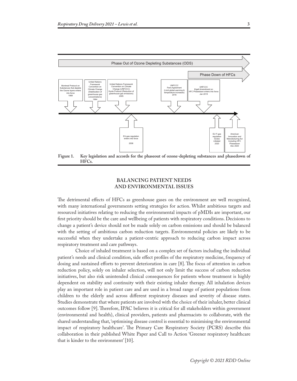

**HFCs.**

## **BALANCING PATIENT NEEDS AND ENVIRONMENTAL ISSUES**

The detrimental effects of HFCs as greenhouse gases on the environment are well recognized, with many international governments setting strategies for action. Whilst ambitious targets and resourced initiatives relating to reducing the environmental impacts of pMDIs are important, our first priority should be the care and wellbeing of patients with respiratory conditions. Decisions to change a patient's device should not be made solely on carbon emissions and should be balanced with the setting of ambitious carbon reduction targets. Environmental policies are likely to be successful when they undertake a patient-centric approach to reducing carbon impact across respiratory treatment and care pathways.

Choice of inhaled treatment is based on a complex set of factors including the individual patient's needs and clinical condition, side effect profiles of the respiratory medicine, frequency of dosing and sustained efforts to prevent deterioration in care [8]. The focus of attention in carbon reduction policy, solely on inhaler selection, will not only limit the success of carbon reduction initiatives, but also risk unintended clinical consequences for patients whose treatment is highly dependent on stability and continuity with their existing inhaler therapy. All inhalation devices play an important role in patient care and are used in a broad range of patient populations from children to the elderly and across different respiratory diseases and severity of disease states. Studies demonstrate that where patients are involved with the choice of their inhaler, better clinical outcomes follow [9]. Therefore, IPAC believes it is critical for all stakeholders within government (environmental and health), clinical providers, patients and pharmacists to collaborate, with the shared understanding that, 'optimising disease control is essential to minimising the environmental impact of respiratory healthcare'. The Primary Care Respiratory Society (PCRS) describe this collaboration in their published White Paper and Call to Action 'Greener respiratory healthcare that is kinder to the environment' [10].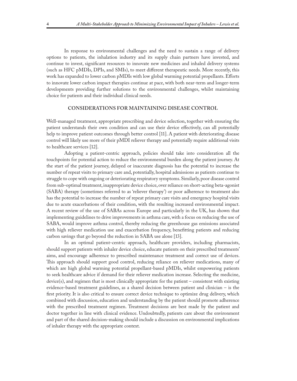In response to environmental challenges and the need to sustain a range of delivery options to patients, the inhalation industry and its supply chain partners have invested, and continue to invest, significant resources to innovate new medicines and inhaled delivery systems (such as HFC pMDIs, DPIs, and SMIs), to meet different therapeutic needs. More recently, this work has expanded to lower carbon pMDIs with low global warming potential propellants. Efforts to innovate lower carbon impact therapies continue at pace, with both near-term and longer-term developments providing further solutions to the environmental challenges, whilst maintaining choice for patients and their individual clinical needs.

#### **CONSIDERATIONS FOR MAINTAINING DISEASE CONTROL**

Well-managed treatment, appropriate prescribing and device selection, together with ensuring the patient understands their own condition and can use their device effectively, can all potentially help to improve patient outcomes through better control [11]. A patient with deteriorating disease control will likely use more of their pMDI reliever therapy and potentially require additional visits to healthcare services [12].

Adopting a patient-centric approach, policies should take into consideration all the touchpoints for potential action to reduce the environmental burden along the patient journey. At the start of the patient journey, delayed or inaccurate diagnosis has the potential to increase the number of repeat visits to primary care and, potentially, hospital admissions as patients continue to struggle to cope with ongoing or deteriorating respiratory symptoms. Similarly, poor disease control from sub-optimal treatment, inappropriate device choice, over reliance on short-acting beta-agonist (SABA) therapy (sometimes referred to as 'reliever therapy') or poor adherence to treatment also has the potential to increase the number of repeat primary care visits and emergency hospital visits due to acute exacerbations of their condition, with the resulting increased environmental impact. A recent review of the use of SABAs across Europe and particularly in the UK, has shown that implementing guidelines to drive improvements in asthma care, with a focus on reducing the use of SABA, would improve asthma control, thereby reducing the greenhouse gas emissions associated with high reliever medication use and exacerbation frequency, benefitting patients and reducing carbon savings that go beyond the reduction in SABA use alone [13].

In an optimal patient-centric approach, healthcare providers, including pharmacists, should support patients with inhaler device choice, educate patients on their prescribed treatments' aims, and encourage adherence to prescribed maintenance treatment and correct use of devices. This approach should support good control, reducing reliance on reliever medications, many of which are high global warming potential propellant-based pMDIs, whilst empowering patients to seek healthcare advice if demand for their reliever medication increase. Selecting the medicine, device(s), and regimen that is most clinically appropriate for the patient – consistent with existing evidence-based treatment guidelines, as a shared decision between patient and clinician – is the first priority. It is also critical to ensure correct device technique to optimize drug delivery, which combined with discussion, education and understanding by the patient should promote adherence with the prescribed treatment regimen. Treatment decisions are best made by the patient and doctor together in line with clinical evidence. Undoubtedly, patients care about the environment and part of the shared decision-making should include a discussion on environmental implications of inhaler therapy with the appropriate context.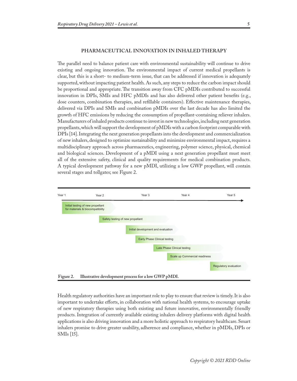#### **PHARMACEUTICAL INNOVATION IN INHALED THERAPY**

The parallel need to balance patient care with environmental sustainability will continue to drive existing and ongoing innovation. The environmental impact of current medical propellants is clear, but this is a short- to medium-term issue, that can be addressed if innovation is adequately supported, without impacting patient health. As such, any steps to reduce the carbon impact should be proportional and appropriate. The transition away from CFC pMDIs contributed to successful innovation in DPIs, SMIs and HFC pMDIs and has also delivered other patient benefits (e.g., dose counters, combination therapies, and refillable containers). Effective maintenance therapies, delivered via DPIs and SMIs and combination pMDIs over the last decade has also limited the growth of HFC emissions by reducing the consumption of propellant-containing reliever inhalers. Manufacturers of inhaled products continue to invest in new technologies, including next generation propellants, which will support the development of pMDIs with a carbon footprint comparable with DPIs [14]. Integrating the next generation propellants into the development and commercialization of new inhalers, designed to optimize sustainability and minimize environmental impact, requires a multidisciplinary approach across pharmaceutics, engineering, polymer science, physical, chemical and biological sciences. Development of a pMDI using a next generation propellant must meet all of the extensive safety, clinical and quality requirements for medical combination products. A typical development pathway for a new pMDI, utilizing a low GWP propellant, will contain several stages and tollgates; see Figure 2.



Health regulatory authorities have an important role to play to ensure that review is timely. It is also important to undertake efforts, in collaboration with national health systems, to encourage uptake of new respiratory therapies using both existing and future innovative, environmentally friendly products. Integration of currently available existing inhalers delivery platforms with digital health applications is also driving innovation and a more holistic approach to respiratory healthcare. Smart inhalers promise to drive greater usability, adherence and compliance, whether in pMDIs, DPIs or SMIs [15].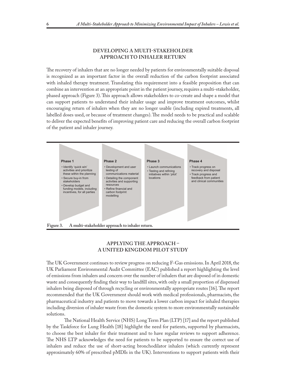### **DEVELOPING A MULTI-STAKEHOLDER APPROACH TO INHALER RETURN**

The recovery of inhalers that are no longer needed by patients for environmentally suitable disposal is recognized as an important factor in the overall reduction of the carbon footprint associated with inhaled therapy treatment. Translating this requirement into a feasible proposition that can combine an intervention at an appropriate point in the patient journey, requires a multi-stakeholder, phased approach (Figure 3). This approach allows stakeholders to co-create and shape a model that can support patients to understand their inhaler usage and improve treatment outcomes, whilst encouraging return of inhalers when they are no longer usable (including expired treatments, all labelled doses used, or because of treatment changes). The model needs to be practical and scalable to deliver the expected benefits of improving patient care and reducing the overall carbon footprint of the patient and inhaler journey.



## **APPLYING THE APPROACH – A UNITED KINGDOM PILOT STUDY**

The UK Government continues to review progress on reducing F-Gas emissions. In April 2018, the UK Parliament Environmental Audit Committee (EAC) published a report highlighting the level of emissions from inhalers and concern over the number of inhalers that are disposed of in domestic waste and consequently finding their way to landfill sites, with only a small proportion of dispensed inhalers being disposed of through recycling or environmentally appropriate routes [16]. The report recommended that the UK Government should work with medical professionals, pharmacists, the pharmaceutical industry and patients to move towards a lower carbon impact for inhaled therapies including diversion of inhaler waste from the domestic system to more environmentally sustainable solutions.

The National Health Service (NHS) Long Term Plan (LTP) [17] and the report published by the Taskforce for Lung Health [18] highlight the need for patients, supported by pharmacists, to choose the best inhaler for their treatment and to have regular reviews to support adherence. The NHS LTP acknowledges the need for patients to be supported to ensure the correct use of inhalers and reduce the use of short-acting bronchodilator inhalers (which currently represent approximately 60% of prescribed pMDIs in the UK). Interventions to support patients with their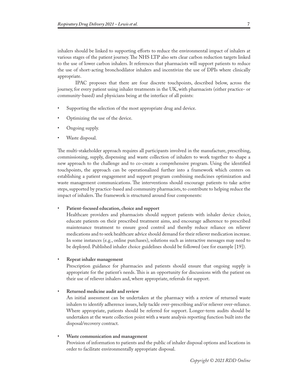inhalers should be linked to supporting efforts to reduce the environmental impact of inhalers at various stages of the patient journey. The NHS LTP also sets clear carbon reduction targets linked to the use of lower carbon inhalers. It references that pharmacists will support patients to reduce the use of short-acting bronchodilator inhalers and incentivize the use of DPIs where clinically appropriate.

IPAC proposes that there are four discrete touchpoints, described below, across the journey, for every patient using inhaler treatments in the UK, with pharmacists (either practice- or community-based) and physicians being at the interface of all points:

- Supporting the selection of the most appropriate drug and device.
- Optimizing the use of the device.
- Ongoing supply.
- Waste disposal.

The multi-stakeholder approach requires all participants involved in the manufacture, prescribing, commissioning, supply, dispensing and waste collection of inhalers to work together to shape a new approach to the challenge and to co-create a comprehensive program. Using the identified touchpoints, the approach can be operationalized further into a framework which centers on establishing a patient engagement and support program combining medicines optimization and waste management communications. The interventions should encourage patients to take active steps, supported by practice-based and community pharmacists, to contribute to helping reduce the impact of inhalers. The framework is structured around four components:

Patient-focused education, choice and support

Healthcare providers and pharmacists should support patients with inhaler device choice, educate patients on their prescribed treatment aims, and encourage adherence to prescribed maintenance treatment to ensure good control and thereby reduce reliance on reliever medications and to seek healthcare advice should demand for their reliever medication increase. In some instances (e.g., online purchases), solutions such as interactive messages may need to be deployed. Published inhaler choice guidelines should be followed (see for example [19]).

• **Repeat inhaler management**

Prescription guidance for pharmacies and patients should ensure that ongoing supply is appropriate for the patient's needs. This is an opportunity for discussions with the patient on their use of reliever inhalers and, where appropriate, referrals for support.

• **Returned medicine audit and review**

An initial assessment can be undertaken at the pharmacy with a review of returned waste inhalers to identify adherence issues, help tackle over-prescribing and/or reliever over-reliance. Where appropriate, patients should be referred for support. Longer-term audits should be undertaken at the waste collection point with a waste analysis reporting function built into the disposal/recovery contract.

• **Waste communication and management**

Provision of information to patients and the public of inhaler disposal options and locations in order to facilitate environmentally appropriate disposal.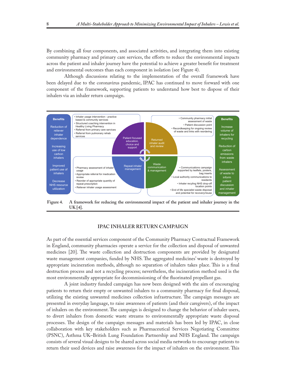By combining all four components, and associated activities, and integrating them into existing community pharmacy and primary care services, the efforts to reduce the environmental impacts across the patient and inhaler journey have the potential to achieve a greater benefit for treatment and environmental outcomes than each component in isolation (see Figure 4).

Although discussions relating to the implementation of the overall framework have been delayed due to the coronavirus pandemic, IPAC has continued to move forward with one component of the framework, supporting patients to understand how best to dispose of their inhalers via an inhaler return campaign.



**Figure 4. A framework for reducing the environmental impact of the patient and inhaler journey in the UK [4].**

#### **IPAC INHALER RETURN CAMPAIGN**

As part of the essential services component of the Community Pharmacy Contractual Framework in England, community pharmacies operate a service for the collection and disposal of unwanted medicines [20]. The waste collection and destruction components are provided by designated waste management companies, funded by NHS. The aggregated medicines' waste is destroyed by appropriate incineration methods, although no separation of inhalers takes place. This is a final destruction process and not a recycling process; nevertheless, the incineration method used is the most environmentally appropriate for decommissioning of the fluorinated propellant gas.

A joint industry funded campaign has now been designed with the aim of encouraging patients to return their empty or unwanted inhalers to a community pharmacy for final disposal, utilizing the existing unwanted medicines collection infrastructure. The campaign messages are presented in everyday language, to raise awareness of patients (and their caregivers), of the impact of inhalers on the environment. The campaign is designed to change the behavior of inhaler users, to divert inhalers from domestic waste streams to environmentally appropriate waste disposal processes. The design of the campaign messages and materials has been led by IPAC, in close collaboration with key stakeholders such as Pharmaceutical Services Negotiating Committee (PSNC), Asthma UK–British Lung Foundation Partnership and NHS England. The campaign consists of several visual designs to be shared across social media networks to encourage patients to return their used devices and raise awareness for the impact of inhalers on the environment. This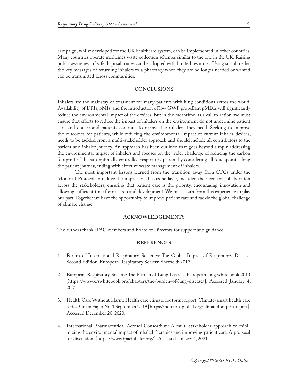campaign, whilst developed for the UK healthcare system, can be implemented in other countries. Many countries operate medicines waste collection schemes similar to the one in the UK. Raising public awareness of safe disposal routes can be adopted with limited resources. Using social media, the key messages of returning inhalers to a pharmacy when they are no longer needed or wanted can be transmitted across communities.

#### **CONCLUSIONS**

Inhalers are the mainstay of treatment for many patients with lung conditions across the world. Availability of DPIs, SMIs, and the introduction of low GWP propellant pMDIs will significantly reduce the environmental impact of the devices. But in the meantime, as a call to action, we must ensure that efforts to reduce the impact of inhalers on the environment do not undermine patient care and choice and patients continue to receive the inhalers they need. Seeking to improve the outcomes for patients, while reducing the environmental impact of current inhaler devices, needs to be tackled from a multi-stakeholder approach and should include all contributors to the patient and inhaler journey. An approach has been outlined that goes beyond simply addressing the environmental impact of inhalers and focuses on the wider challenge of reducing the carbon footprint of the sub-optimally controlled respiratory patient by considering all touchpoints along the patient journey, ending with effective waste management of inhalers.

The most important lessons learned from the transition away from CFCs under the Montreal Protocol to reduce the impact on the ozone layer, included the need for collaboration across the stakeholders, ensuring that patient care is the priority, encouraging innovation and allowing sufficient time for research and development. We must learn from this experience to play our part. Together we have the opportunity to improve patient care and tackle the global challenge of climate change.

#### **ACKNOWLEDGEMENTS**

The authors thank IPAC members and Board of Directors for support and guidance.

#### **REFERENCES**

- 1. Forum of International Respiratory Societies: The Global Impact of Respiratory Disease. Second Edition. European Respiratory Society, Sheffield: 2017.
- 2. European Respiratory Society: The Burden of Lung Disease. European lung white book 2013 [https://www.erswhitebook.org/chapters/the-burden-of-lung-disease/]. Accessed January 4, 2021.
- 3. Health Care Without Harm: Health care climate footprint report. Climate-smart health care series, Green Paper No. 1 September 2019 [https://noharm-global.org/climatefootprintreport]. Accessed December 20, 2020.
- 4. International Pharmaceutical Aerosol Consortium: A multi-stakeholder approach to minimizing the environmental impact of inhaled therapies and improving patient care. A proposal for discussion. [https://www.ipacinhaler.org/]. Accessed January 4, 2021.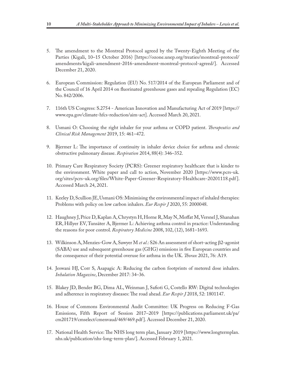- 5. The amendment to the Montreal Protocol agreed by the Twenty-Eighth Meeting of the Parties (Kigali, 10–15 October 2016) [https://ozone.unep.org/treaties/montreal-protocol/ amendments/kigali-amendment-2016-amendment-montreal-protocol-agreed/]. Accessed December 21, 2020.
- 6. European Commission: Regulation (EU) No. 517/2014 of the European Parliament and of the Council of 16 April 2014 on fluorinated greenhouse gases and repealing Regulation (EC) No. 842/2006.
- 7. 116th US Congress: S.2754 American Innovation and Manufacturing Act of 2019 [https:// www.epa.gov/climate-hfcs-reduction/aim-act]. Accessed March 20, 2021.
- 8. Usmani O: Choosing the right inhaler for your asthma or COPD patient. *Therapeutics and Clinical Risk Management* 2019, 15: 461–472.
- 9. Bjermer L: The importance of continuity in inhaler device choice for asthma and chronic obstructive pulmonary disease. *Respiration* 2014, 88(4): 346–352.
- 10. Primary Care Respiratory Society (PCRS): Greener respiratory healthcare that is kinder to the environment. White paper and call to action, November 2020 [https://www.pcrs-uk. org/sites/pcrs-uk.org/files/White-Paper-Greener-Respiratory-Healthcare-20201118.pdf ]. Accessed March 24, 2021.
- 11. Keeley D, Scullion JE, Usmani OS: Minimising the environmental impact of inhaled therapies: Problems with policy on low carbon inhalers. *Eur Respir J* 2020, 55: 2000048.
- 12. Haughney J, Price D, Kaplan A, Chrystyn H, Horne R, May N, Moffat M, Versnel J, Shanahan ER, Hillyer EV, Tunsäter A, Bjermer L: Achieving asthma control in practice: Understanding the reasons for poor control. *Respiratory Medicine* 2008, 102, (12), 1681–1693.
- 13. Wilkinson A, Menzies-Gow A, Sawyer M *et al*.: S26 An assessment of short-acting b2-agonist (SABA) use and subsequent greenhouse gas (GHG) emissions in five European countries and the consequence of their potential overuse for asthma in the UK. *Thorax* 2021, 76: A19.
- 14. Jeswani HJ, Corr S, Asapagic A: Reducing the carbon footprints of metered dose inhalers. *Inhalation Magazine*, December 2017: 34–36.
- 15. Blakey JD, Bender BG, Dima AL, Weinman J, Safioti G, Costello RW: Digital technologies and adherence in respiratory diseases: The road ahead. *Eur Respir J* 2018, 52: 1801147.
- 16. House of Commons Environmental Audit Committee: UK Progress on Reducing F-Gas Emissions, Fifth Report of Session 2017–2019 [https://publications.parliament.uk/pa/ cm201719/cmselect/cmenvaud/469/469.pdf ]. Accessed December 21, 2020.
- 17. National Health Service: The NHS long term plan, January 2019 [https://www.longtermplan. nhs.uk/publication/nhs-long-term-plan/]. Accessed February 1, 2021.